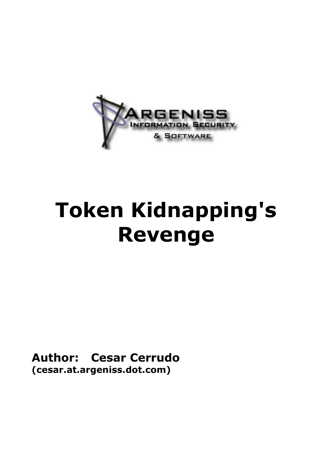

# **Token Kidnapping's Revenge**

**Author: Cesar Cerrudo (cesar.at.argeniss.dot.com)**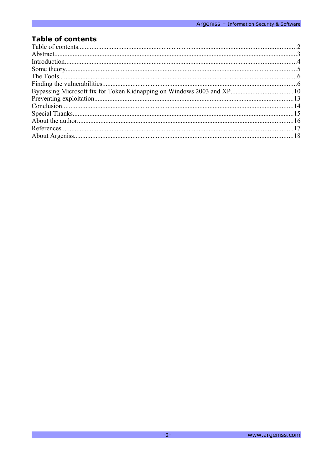# **Table of contents**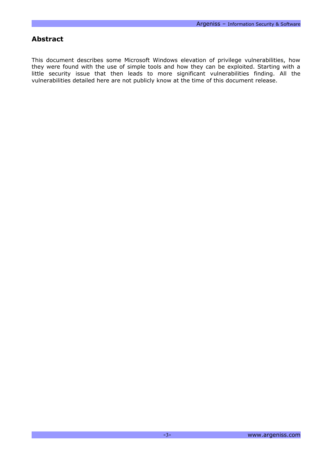#### **Abstract**

This document describes some Microsoft Windows elevation of privilege vulnerabilities, how they were found with the use of simple tools and how they can be exploited. Starting with a little security issue that then leads to more significant vulnerabilities finding. All the vulnerabilities detailed here are not publicly know at the time of this document release.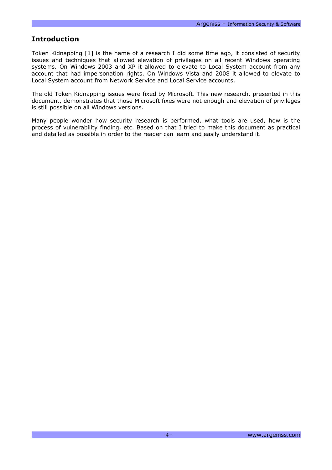#### **Introduction**

Token Kidnapping [1] is the name of a research I did some time ago, it consisted of security issues and techniques that allowed elevation of privileges on all recent Windows operating systems. On Windows 2003 and XP it allowed to elevate to Local System account from any account that had impersonation rights. On Windows Vista and 2008 it allowed to elevate to Local System account from Network Service and Local Service accounts.

The old Token Kidnapping issues were fixed by Microsoft. This new research, presented in this document, demonstrates that those Microsoft fixes were not enough and elevation of privileges is still possible on all Windows versions.

Many people wonder how security research is performed, what tools are used, how is the process of vulnerability finding, etc. Based on that I tried to make this document as practical and detailed as possible in order to the reader can learn and easily understand it.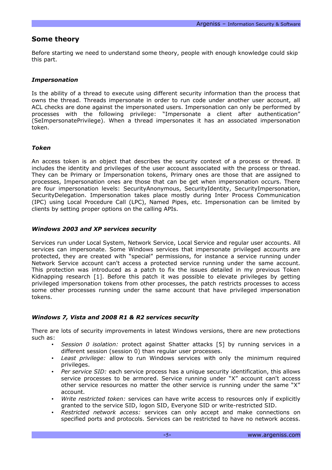#### **Some theory**

Before starting we need to understand some theory, people with enough knowledge could skip this part.

#### *Impersonation*

Is the ability of a thread to execute using different security information than the process that owns the thread. Threads impersonate in order to run code under another user account, all ACL checks are done against the impersonated users. Impersonation can only be performed by processes with the following privilege: "Impersonate a client after authentication" (SeImpersonatePrivilege). When a thread impersonates it has an associated impersonation token.

#### *Token*

An access token is an object that describes the security context of a process or thread. It includes the identity and privileges of the user account associated with the process or thread. They can be Primary or Impersonation tokens, Primary ones are those that are assigned to processes, Impersonation ones are those that can be get when impersonation occurs. There are four impersonation levels: SecurityAnonymous, SecurityIdentity, SecurityImpersonation, SecurityDelegation. Impersonation takes place mostly during Inter Process Communication (IPC) using Local Procedure Call (LPC), Named Pipes, etc. Impersonation can be limited by clients by setting proper options on the calling APIs.

#### *Windows 2003 and XP services security*

Services run under Local System, Network Service, Local Service and regular user accounts. All services can impersonate. Some Windows services that impersonate privileged accounts are protected, they are created with "special" permissions, for instance a service running under Network Service account can't access a protected service running under the same account. This protection was introduced as a patch to fix the issues detailed in my previous Token Kidnapping research [1]. Before this patch it was possible to elevate privileges by getting privileged impersonation tokens from other processes, the patch restricts processes to access some other processes running under the same account that have privileged impersonation tokens.

#### *Windows 7, Vista and 2008 R1 & R2 services security*

There are lots of security improvements in latest Windows versions, there are new protections such as:

- *Session 0 isolation:* protect against Shatter attacks [5] by running services in a different session (session 0) than regular user processes.
- *Least privilege:* allow to run Windows services with only the minimum required privileges.
- *Per service SID:* each service process has a unique security identification, this allows service processes to be armored. Service running under "X" account can't access other service resources no matter the other service is running under the same "X" account.
- *Write restricted token:* services can have write access to resources only if explicitly granted to the service SID, logon SID, Everyone SID or write-restricted SID.
- *Restricted network access:* services can only accept and make connections on specified ports and protocols. Services can be restricted to have no network access.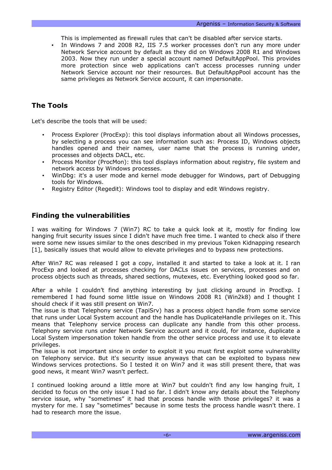This is implemented as firewall rules that can't be disabled after service starts.

• In Windows 7 and 2008 R2, IIS 7.5 worker processes don't run any more under Network Service account by default as they did on Windows 2008 R1 and Windows 2003. Now they run under a special account named DefaultAppPool. This provides more protection since web applications can't access processes running under Network Service account nor their resources. But DefaultAppPool account has the same privileges as Network Service account, it can impersonate.

# **The Tools**

Let's describe the tools that will be used:

- Process Explorer (ProcExp): this tool displays information about all Windows processes, by selecting a process you can see information such as: Process ID, Windows objects handles opened and their names, user name that the process is running under, processes and objects DACL, etc.
- Process Monitor (ProcMon): this tool displays information about registry, file system and network access by Windows processes.
- WinDbg: it's a user mode and kernel mode debugger for Windows, part of Debugging tools for Windows.
- Registry Editor (Regedit): Windows tool to display and edit Windows registry.

## **Finding the vulnerabilities**

I was waiting for Windows 7 (Win7) RC to take a quick look at it, mostly for finding low hanging fruit security issues since I didn't have much free time. I wanted to check also if there were some new issues similar to the ones described in my previous Token Kidnapping research [1], basically issues that would allow to elevate privileges and to bypass new protections.

After Win7 RC was released I got a copy, installed it and started to take a look at it. I ran ProcExp and looked at processes checking for DACLs issues on services, processes and on process objects such as threads, shared sections, mutexes, etc. Everything looked good so far.

After a while I couldn't find anything interesting by just clicking around in ProcExp. I remembered I had found some little issue on Windows 2008 R1 (Win2k8) and I thought I should check if it was still present on Win7.

The issue is that Telephony service (TapiSrv) has a process object handle from some service that runs under Local System account and the handle has DuplicateHandle privileges on it. This means that Telephony service process can duplicate any handle from this other process. Telephony service runs under Network Service account and it could, for instance, duplicate a Local System impersonation token handle from the other service process and use it to elevate privileges.

The issue is not important since in order to exploit it you must first exploit some vulnerability on Telephony service. But it's security issue anyways that can be exploited to bypass new Windows services protections. So I tested it on Win7 and it was still present there, that was good news, it meant Win7 wasn't perfect.

I continued looking around a little more at Win7 but couldn't find any low hanging fruit, I decided to focus on the only issue I had so far. I didn't know any details about the Telephony service issue, why "sometimes" it had that process handle with those privileges? it was a mystery for me. I say "sometimes" because in some tests the process handle wasn't there. I had to research more the issue.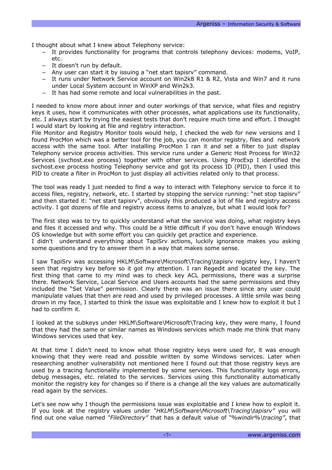I thought about what I knew about Telephony service:

- It provides functionality for programs that controls telephony devices: modems, VoIP, etc.
- It doesn't run by default.
- Any user can start it by issuing a "net start tapisry" command.
- − It runs under Network Service account on Win2k8 R1 & R2, Vista and Win7 and it runs under Local System account in WinXP and Win2k3.
- It has had some remote and local vulnerabilities in the past.

I needed to know more about inner and outer workings of that service, what files and registry keys it uses, how it communicates with other processes, what applications use its functionality, etc. I always start by trying the easiest tests that don't require much time and effort. I thought I would start by looking at file and registry interaction.

File Monitor and Registry Monitor tools would help, I checked the web for new versions and I found ProcMon which was a better tool for the job, you can monitor registry, files and network access with the same tool. After installing ProcMon I ran it and set a filter to just display Telephony service process activities. This service runs under a Generic Host Process for Win32 Services (svchost.exe process) together with other services. Using ProcExp I identified the svchost.exe process hosting Telephony service and got its process ID (PID), then I used this PID to create a filter in ProcMon to just display all activities related only to that process.

The tool was ready I just needed to find a way to interact with Telephony service to force it to access files, registry, network, etc. I started by stopping the service running: "net stop tapisrv" and then started it: "net start tapisrv", obviously this produced a lot of file and registry access activity. I got dozens of file and registry access items to analyze, but what I would look for?

The first step was to try to quickly understand what the service was doing, what registry keys and files it accessed and why. This could be a little difficult if you don't have enough Windows OS knowledge but with some effort you can quickly get practice and experience.

I didn't understand everything about TapiSrv actions, luckily ignorance makes you asking some questions and try to answer them in a way that makes some sense.

I saw TapiSrv was accessing HKLM\Software\Microsoft\Tracing\tapisrv registry key, I haven't seen that registry key before so it got my attention. I ran Regedit and located the key. The first thing that came to my mind was to check key ACL permissions, there was a surprise there. Network Service, Local Service and Users accounts had the same permissions and they included the "Set Value" permission. Clearly there was an issue there since any user could manipulate values that then are read and used by privileged processes. A little smile was being drown in my face, I started to think the issue was exploitable and I knew how to exploit it but I had to confirm it.

I looked at the subkeys under HKLM\Software\Microsoft\Tracing key, they were many, I found that they had the same or similar names as Windows services which made me think that many Windows services used that key.

At that time I didn't need to know what those registry keys were used for, it was enough knowing that they were read and possible written by some Windows services. Later when researching another vulnerability not mentioned here I found out that those registry keys are used by a tracing functionality implemented by some services. This functionality logs errors, debug messages, etc. related to the services. Services using this functionality automatically monitor the registry key for changes so if there is a change all the key values are automatically read again by the services.

Let's see now why I though the permissions issue was exploitable and I knew how to exploit it. If you look at the registry values under *"HKLM\Software\Microsoft\Tracing\tapisrv"* you will find out one value named *"FileDirectory"* that has a default value of *"%windir%\tracing"*, that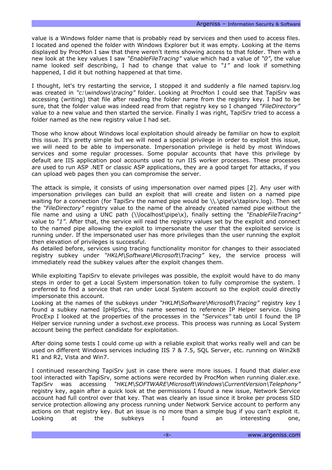value is a Windows folder name that is probably read by services and then used to access files. I located and opened the folder with Windows Explorer but it was empty. Looking at the items displayed by ProcMon I saw that there weren't items showing access to that folder. Then with a new look at the key values I saw *"EnableFileTracing"* value which had a value of *"0"*, the value name looked self describing, I had to change that value to *"1"* and look if something happened, I did it but nothing happened at that time.

I thought, let's try restarting the service, I stopped it and suddenly a file named tapisrv.log was created in *"c:\windows\tracing"* folder. Looking at ProcMon I could see that TapiSrv was accessing (writing) that file after reading the folder name from the registry key. I had to be sure, that the folder value was indeed read from that registry key so I changed *"FileDirectory"* value to a new value and then started the service. Finally I was right, TapiSrv tried to access a folder named as the new registry value I had set.

Those who know about Windows local exploitation should already be familiar on how to exploit this issue. It's pretty simple but we will need a special privilege in order to exploit this issue, we will need to be able to impersonate. Impersonation privilege is held by most Windows services and some regular processes. Some popular accounts that have this privilege by default are IIS application pool accounts used to run IIS worker processes. These processes are used to run ASP .NET or classic ASP applications, they are a good target for attacks, if you can upload web pages then you can compromise the server.

The attack is simple, it consists of using impersonation over named pipes [2]. Any user with impersonation privileges can build an exploit that will create and listen on a named pipe waiting for a connection (for TapiSrv the named pipe would be \\.\pipe\x\tapisrv.log). Then set the *"FileDirectory"* registry value to the name of the already created named pipe without the file name and using a UNC path (\\localhost\pipe\x), finally setting the *"EnableFileTracing"* value to *"1"*. After that, the service will read the registry values set by the exploit and connect to the named pipe allowing the exploit to impersonate the user that the exploited service is running under. If the impersonated user has more privileges than the user running the exploit then elevation of privileges is successful.

As detailed before, services using tracing functionality monitor for changes to their associated registry subkey under *"HKLM\Software\Microsoft\Tracing"* key, the service process will immediately read the subkey values after the exploit changes them.

While exploiting TapiSrv to elevate privileges was possible, the exploit would have to do many steps in order to get a Local System impersonation token to fully compromise the system. I preferred to find a service that ran under Local System account so the exploit could directly impersonate this account.

Looking at the names of the subkeys under *"HKLM\Software\Microsoft\Tracing"* registry key I found a subkey named IpHlpSvc, this name seemed to reference IP Helper service. Using ProcExp I looked at the properties of the processes in the *"Services"* tab until I found the IP Helper service running under a svchost.exe process. This process was running as Local System account being the perfect candidate for exploitation.

After doing some tests I could come up with a reliable exploit that works really well and can be used on different Windows services including IIS 7 & 7.5, SQL Server, etc. running on Win2k8 R1 and R2, Vista and Win7.

I continued researching TapiSrv just in case there were more issues. I found that dialer.exe tool interacted with TapiSrv, some actions were recorded by ProcMon when running dialer.exe. TapiSrv was accessing *"HKLM\SOFTWARE\Microsoft\Windows\CurrentVersion\Telephony"* registry key, again after a quick look at the permissions I found a new issue, Network Service account had full control over that key. That was clearly an issue since it broke per process SID service protection allowing any process running under Network Service account to perform any actions on that registry key. But an issue is no more than a simple bug if you can't exploit it. Looking at the subkeys I found an interesting one,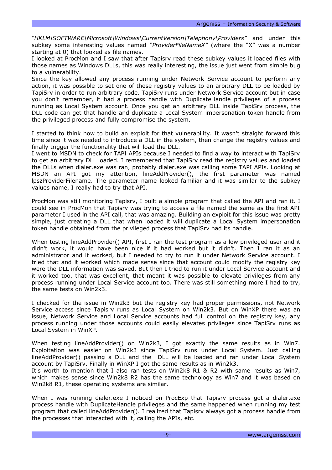*"HKLM\SOFTWARE\Microsoft\Windows\CurrentVersion\Telephony\Providers"* and under this subkey some interesting values named *"ProviderFileNameX"* (where the "X" was a number starting at 0) that looked as file names.

I looked at ProcMon and I saw that after Tapisrv read these subkey values it loaded files with those names as Windows DLLs, this was really interesting, the issue just went from simple bug to a vulnerability.

Since the key allowed any process running under Network Service account to perform any action, it was possible to set one of these registry values to an arbitrary DLL to be loaded by TapiSrv in order to run arbitrary code. TapiSrv runs under Network Service account but in case you don't remember, it had a process handle with DuplicateHandle privileges of a process running as Local System account. Once you get an arbitrary DLL inside TapiSrv process, the DLL code can get that handle and duplicate a Local System impersonation token handle from the privileged process and fully compromise the system.

I started to think how to build an exploit for that vulnerability. It wasn't straight forward this time since it was needed to introduce a DLL in the system, then change the registry values and finally trigger the functionality that will load the DLL.

I went to MSDN to check for TAPI APIs because I needed to find a way to interact with TapiSrv to get an arbitrary DLL loaded. I remembered that TapiSrv read the registry values and loaded the DLLs when dialer.exe was ran, probably dialer.exe was calling some TAPI APIs. Looking at MSDN an API got my attention, lineAddProvider(), the first parameter was named lpszProviderFilename. The parameter name looked familiar and it was similar to the subkey values name, I really had to try that API.

ProcMon was still monitoring Tapisrv, I built a simple program that called the API and ran it. I could see in ProcMon that Tapisrv was trying to access a file named the same as the first API parameter I used in the API call, that was amazing. Building an exploit for this issue was pretty simple, just creating a DLL that when loaded it will duplicate a Local System impersonation token handle obtained from the privileged process that TapiSrv had its handle.

When testing lineAddProvider() API, first I ran the test program as a low privileged user and it didn't work, it would have been nice if it had worked but it didn't. Then I ran it as an administrator and it worked, but I needed to try to run it under Network Service account. I tried that and it worked which made sense since that account could modify the registry key were the DLL information was saved. But then I tried to run it under Local Service account and it worked too, that was excellent, that meant it was possible to elevate privileges from any process running under Local Service account too. There was still something more I had to try, the same tests on Win2k3.

I checked for the issue in Win2k3 but the registry key had proper permissions, not Network Service access since Tapisrv runs as Local System on Win2k3. But on WinXP there was an issue, Network Service and Local Service accounts had full control on the registry key, any process running under those accounts could easily elevates privileges since TapiSrv runs as Local System in WinXP.

When testing lineAddProvider() on Win2k3, I got exactly the same results as in Win7. Exploitation was easier on Win2k3 since TapiSrv runs under Local System. Just calling lineAddProvider() passing a DLL and the DLL will be loaded and ran under Local System account by TapiSrv. Finally in WinXP I got the same results as in Win2k3.

It's worth to mention that I also ran tests on Win2k8 R1 & R2 with same results as Win7, which makes sense since Win2k8 R2 has the same technology as Win7 and it was based on Win2k8 R1, these operating systems are similar.

When I was running dialer.exe I noticed on ProcExp that Tapisrv process got a dialer.exe process handle with DuplicateHandle privileges and the same happened when running my test program that called lineAddProvider(). I realized that Tapisrv always got a process handle from the processes that interacted with it, calling the APIs, etc.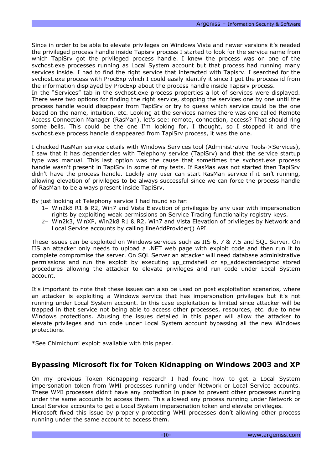Since in order to be able to elevate privileges on Windows Vista and newer versions it's needed the privileged process handle inside Tapisrv process I started to look for the service name from which TapiSrv got the privileged process handle. I knew the process was on one of the svchost.exe processes running as Local System account but that process had running many services inside. I had to find the right service that interacted with Tapisry. I searched for the svchost.exe process with ProcExp which I could easily identify it since I got the process id from the information displayed by ProcExp about the process handle inside Tapisrv process.

In the "Services" tab in the svchost.exe process properties a lot of services were displayed. There were two options for finding the right service, stopping the services one by one until the process handle would disappear from TapiSrv or try to guess which service could be the one based on the name, intuition, etc. Looking at the services names there was one called Remote Access Connection Manager (RasMan), let's see: remote, connection, access? That should ring some bells. This could be the one I'm looking for, I thought, so I stopped it and the svchost.exe process handle disappeared from TapiSrv process, it was the one.

I checked RasMan service details with Windows Services tool (Administrative Tools->Services), I saw that it has dependencies with Telephony service (TapiSrv) and that the service startup type was manual. This last option was the cause that sometimes the svchost.exe process handle wasn't present in TapiSrv in some of my tests. If RasMas was not started then TapiSrv didn't have the process handle. Luckily any user can start RasMan service if it isn't running, allowing elevation of privileges to be always successful since we can force the process handle of RasMan to be always present inside TapiSrv.

By just looking at Telephony service I had found so far:

- 1− Win2k8 R1 & R2, Win7 and Vista Elevation of privileges by any user with impersonation rights by exploiting weak permissions on Service Tracing functionality registry keys.
- 2− Win2k3, WinXP, Win2k8 R1 & R2, Win7 and Vista Elevation of privileges by Network and Local Service accounts by calling lineAddProvider() API.

These issues can be exploited on Windows services such as IIS 6, 7 & 7.5 and SQL Server. On IIS an attacker only needs to upload a .NET web page with exploit code and then run it to complete compromise the server. On SQL Server an attacker will need database administrative permissions and run the exploit by executing xp\_cmdshell or sp\_addextendedproc stored procedures allowing the attacker to elevate privileges and run code under Local System account.

It's important to note that these issues can also be used on post exploitation scenarios, where an attacker is exploiting a Windows service that has impersonation privileges but it's not running under Local System account. In this case exploitation is limited since attacker will be trapped in that service not being able to access other processes, resources, etc. due to new Windows protections. Abusing the issues detailed in this paper will allow the attacker to elevate privileges and run code under Local System account bypassing all the new Windows protections.

\*See Chimichurri exploit available with this paper.

#### **Bypassing Microsoft fix for Token Kidnapping on Windows 2003 and XP**

On my previous Token Kidnapping research I had found how to get a Local System impersonation token from WMI processes running under Network or Local Service accounts. These WMI processes didn't have any protection in place to prevent other processes running under the same accounts to access them. This allowed any process running under Network or Local Service accounts to get a Local System impersonation token and elevate privileges.

Microsoft fixed this issue by properly protecting WMI processes don't allowing other process running under the same account to access them.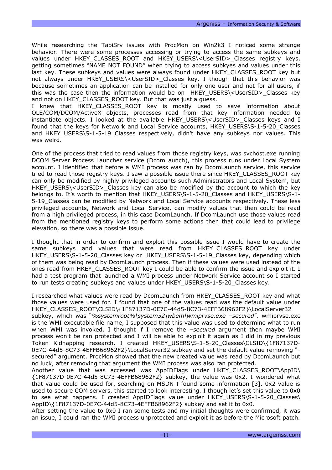While researching the TapiSrv issues with ProcMon on Win2k3 I noticed some strange behavior. There were some processes accessing or trying to access the same subkeys and values under HKEY CLASSES ROOT and HKEY USERS\<UserSID> Classes registry keys, getting sometimes "NAME NOT FOUND" when trying to access subkyes and values under this last key. These subkeys and values were always found under HKEY\_CLASSES\_ROOT key but not always under HKEY\_USERS\<UserSID>\_Classes key. I though that this behavior was because sometimes an application can be installed for only one user and not for all users, if this was the case then the information would be on HKEY\_USERS\<UserSID>\_Classes key and not on HKEY\_CLASSES\_ROOT key. But that was just a guess.

I knew that HKEY\_CLASSES\_ROOT key is mostly used to save information about OLE/COM/DCOM/ActiveX objects, processes read from that key information needed to instantiate objects. I looked at the available HKEY\_USERS\<UserSID>\_Classes keys and I found that the keys for Network and Local Service accounts, HKEY USERS\S-1-5-20 Classes and HKEY USERS\S-1-5-19 Classes respectively, didn't have any subkeys nor values. This was weird.

One of the process that tried to read values from those registry keys, was svchost.exe running DCOM Server Process Launcher service (DcomLaunch), this process runs under Local System account. I identified that before a WMI process was ran by DcomLaunch service, this service tried to read those registry keys. I saw a possible issue there since HKEY\_CLASSES\_ROOT key can only be modified by highly privileged accounts such Administrators and Local System, but HKEY USERS\<UserSID> Classes key can also be modified by the account to which the key belongs to. It's worth to mention that HKEY\_USERS\S-1-5-20\_Classes and HKEY\_USERS\S-1- 5-19\_Classes can be modified by Network and Local Service accounts respectively. These less privileged accounts, Network and Local Service, can modify values that then could be read from a high privileged process, in this case DcomLaunch. If DcomLaunch use those values read from the mentioned registry keys to perform some actions then that could lead to privilege elevation, so there was a possible issue.

I thought that in order to confirm and exploit this possible issue I would have to create the same subkeys and values that were read from HKEY\_CLASSES\_ROOT\_key\_under HKEY\_USERS\S-1-5-20\_Classes key or HKEY\_USERS\S-1-5-19\_Classes key, depending which of them was being read by DcomLaunch process. Then if these values were used instead of the ones read from HKEY\_CLASSES\_ROOT key I could be able to confirm the issue and exploit it. I had a test program that launched a WMI process under Network Service account so I started to run tests creating subkeys and values under HKEY\_USERS\S-1-5-20\_Classes key.

I researched what values were read by DcomLaunch from HKEY\_CLASSES\_ROOT key and what those values were used for. I found that one of the values read was the default value under HKEY\_CLASSES\_ROOT\CLSID\{1F87137D-0E7C-44d5-8C73-4EFFB68962F2}\LocalServer32

subkey, which was "*%systemroot%\system32\wbem\wmiprvse.exe –secured*". wmiprvse.exe is the WMI executable file name, I supposed that this value was used to determine what to run when WMI was invoked. I thought if I remove the *–secured* argument then maybe WMI process won't be ran protected and I will be able to exploit it again as I did in my previous Token Kidnapping research. I created HKEY\_USERS\S-1-5-20\_Classes\CLSID\{1F87137D-0E7C-44d5-8C73-4EFFB68962F2}\LocalServer32 subkey and set the default value removing " secured" argument. ProcMon showed that the new created value was read by DcomLaunch but no luck, after removing that argument the WMI process was also ran protected.

Another value that was accessed was AppIDFlags under HKEY\_CLASSES\_ROOT\AppID\ {1F87137D-0E7C-44d5-8C73-4EFFB68962F2} subkey, the value was 0x2. I wondered what that value could be used for, searching on MSDN I found some information [3]. 0x2 value is used to secure COM servers, this started to look interesting. I though let's set this value to 0x0 to see what happens. I created AppIDFlags value under HKEY USERS\S-1-5-20 Classes\ AppID\{1F87137D-0E7C-44d5-8C73-4EFFB68962F2} subkey and set it to 0x0.

After setting the value to 0x0 I ran some tests and my initial thoughts were confirmed, it was an issue, I could ran the WMI process unprotected and exploit it as before the Microsoft patch.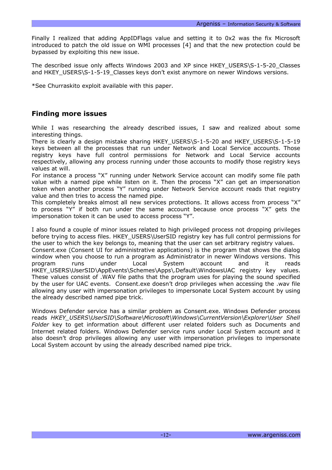Finally I realized that adding AppIDFlags value and setting it to 0x2 was the fix Microsoft introduced to patch the old issue on WMI processes [4] and that the new protection could be bypassed by exploiting this new issue.

The described issue only affects Windows 2003 and XP since HKEY\_USERS\S-1-5-20\_Classes and HKEY\_USERS\S-1-5-19\_Classes keys don't exist anymore on newer Windows versions.

\*See Churraskito exploit available with this paper.

### **Finding more issues**

While I was researching the already described issues, I saw and realized about some interesting things.

There is clearly a design mistake sharing HKEY\_USERS\S-1-5-20 and HKEY\_USERS\S-1-5-19 keys between all the processes that run under Network and Local Service accounts. Those registry keys have full control permissions for Network and Local Service accounts respectively, allowing any process running under those accounts to modify those registry keys values at will.

For instance a process "X" running under Network Service account can modify some file path value with a named pipe while listen on it. Then the process "X" can get an impersonation token when another process "Y" running under Network Service account reads that registry value and then tries to access the named pipe.

This completely breaks almost all new services protections. It allows access from process "X" to process "Y" if both run under the same account because once process "X" gets the impersonation token it can be used to access process "Y".

I also found a couple of minor issues related to high privileged process not dropping privileges before trying to access files. HKEY\_USERS\UserSID registry key has full control permissions for the user to which the key belongs to, meaning that the user can set arbitrary registry values. Consent.exe (Consent UI for administrative applications) is the program that shows the dialog window when you choose to run a program as Administrator in newer Windows versions. This program runs under Local System account and it reads HKEY\_USERS\UserSID\AppEvents\Schemes\Apps\.Default\WindowsUAC registry key values. These values consist of .WAV file paths that the program uses for playing the sound specified by the user for UAC events. Consent.exe doesn't drop privileges when accessing the .wav file allowing any user with impersonation privileges to impersonate Local System account by using the already described named pipe trick.

Windows Defender service has a similar problem as Consent.exe. Windows Defender process reads *HKEY\_USERS\UserSID\Software\Microsoft\Windows\CurrentVersion\Explorer\User Shell Folder* key to get information about different user related folders such as Documents and Internet related folders. Windows Defender service runs under Local System account and it also doesn't drop privileges allowing any user with impersonation privileges to impersonate Local System account by using the already described named pipe trick.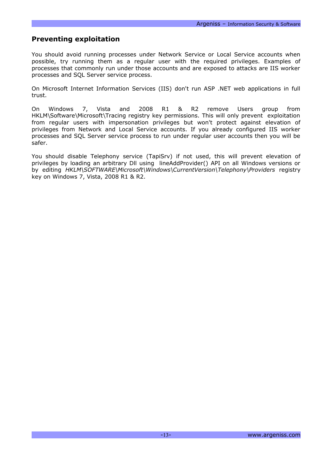### **Preventing exploitation**

You should avoid running processes under Network Service or Local Service accounts when possible, try running them as a regular user with the required privileges. Examples of processes that commonly run under those accounts and are exposed to attacks are IIS worker processes and SQL Server service process.

On Microsoft Internet Information Services (IIS) don't run ASP .NET web applications in full trust.

On Windows 7, Vista and 2008 R1 & R2 remove Users group from HKLM\Software\Microsoft\Tracing registry key permissions. This will only prevent exploitation from regular users with impersonation privileges but won't protect against elevation of privileges from Network and Local Service accounts. If you already configured IIS worker processes and SQL Server service process to run under regular user accounts then you will be safer.

You should disable Telephony service (TapiSrv) if not used, this will prevent elevation of privileges by loading an arbitrary Dll using lineAddProvider() API on all Windows versions or by editing *HKLM\SOFTWARE\Microsoft\Windows\CurrentVersion\Telephony\Providers* registry key on Windows 7, Vista, 2008 R1 & R2.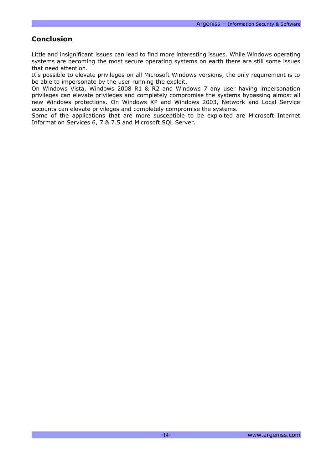# **Conclusion**

Little and insignificant issues can lead to find more interesting issues. While Windows operating systems are becoming the most secure operating systems on earth there are still some issues that need attention.

It's possible to elevate privileges on all Microsoft Windows versions, the only requirement is to be able to impersonate by the user running the exploit.

On Windows Vista, Windows 2008 R1 & R2 and Windows 7 any user having impersonation privileges can elevate privileges and completely compromise the systems bypassing almost all new Windows protections. On Windows XP and Windows 2003, Network and Local Service accounts can elevate privileges and completely compromise the systems.

Some of the applications that are more susceptible to be exploited are Microsoft Internet Information Services 6, 7 & 7.5 and Microsoft SQL Server.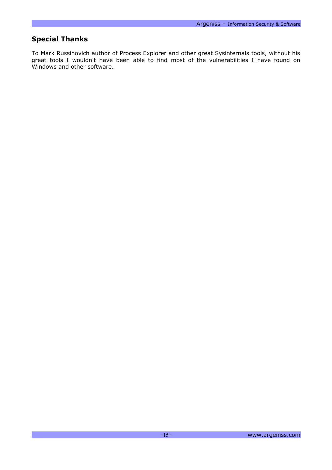# **Special Thanks**

To Mark Russinovich author of Process Explorer and other great Sysinternals tools, without his great tools I wouldn't have been able to find most of the vulnerabilities I have found on Windows and other software.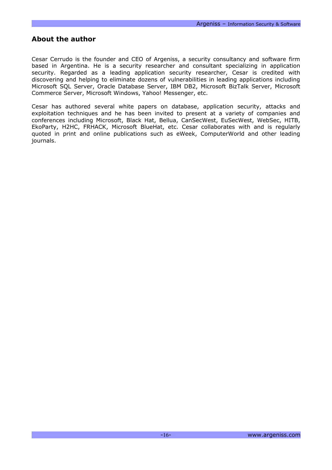#### **About the author**

Cesar Cerrudo is the founder and CEO of Argeniss, a security consultancy and software firm based in Argentina. He is a security researcher and consultant specializing in application security. Regarded as a leading application security researcher, Cesar is credited with discovering and helping to eliminate dozens of vulnerabilities in leading applications including Microsoft SQL Server, Oracle Database Server, IBM DB2, Microsoft BizTalk Server, Microsoft Commerce Server, Microsoft Windows, Yahoo! Messenger, etc.

Cesar has authored several white papers on database, application security, attacks and exploitation techniques and he has been invited to present at a variety of companies and conferences including Microsoft, Black Hat, Bellua, CanSecWest, EuSecWest, WebSec, HITB, EkoParty, H2HC, FRHACK, Microsoft BlueHat, etc. Cesar collaborates with and is regularly quoted in print and online publications such as eWeek, ComputerWorld and other leading journals.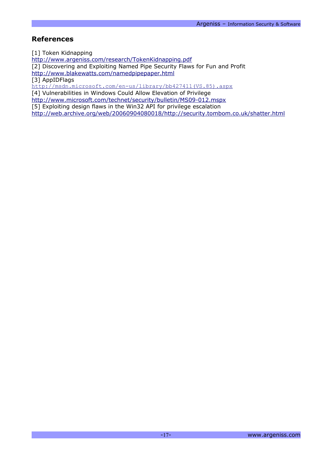### **References**

[1] Token Kidnapping

<http://www.argeniss.com/research/TokenKidnapping.pdf>

[2] Discovering and Exploiting Named Pipe Security Flaws for Fun and Profit

<http://www.blakewatts.com/namedpipepaper.html>

[3] AppIDFlags

[http://msdn.microsoft.com/en-us/library/bb427411\(VS.85\).aspx](http://msdn.microsoft.com/en-us/library/bb427411(VS.85).aspx)

[4] Vulnerabilities in Windows Could Allow Elevation of Privilege

<http://www.microsoft.com/technet/security/bulletin/MS09-012.mspx>

[5] Exploiting design flaws in the Win32 API for privilege escalation

<http://web.archive.org/web/20060904080018/http://security.tombom.co.uk/shatter.html>